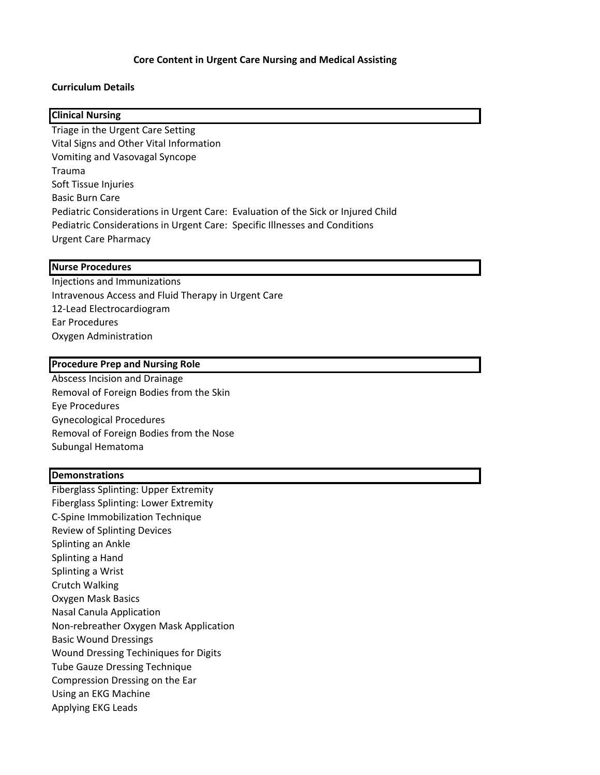## **Core Content in Urgent Care Nursing and Medical Assisting**

### **Curriculum Details**

# **Clinical Nursing**

Triage in the Urgent Care Setting Vital Signs and Other Vital Information Vomiting and Vasovagal Syncope Trauma Soft Tissue Injuries **Basic Burn Care** Pediatric Considerations in Urgent Care: Evaluation of the Sick or Injured Child Pediatric Considerations in Urgent Care: Specific Illnesses and Conditions Urgent Care Pharmacy

#### **Nurse Procedures**

Injections and Immunizations Intravenous Access and Fluid Therapy in Urgent Care 12-Lead Electrocardiogram Ear Procedures Oxygen Administration

#### **Procedure Prep and Nursing Role**

Abscess Incision and Drainage Removal of Foreign Bodies from the Skin Eye Procedures Gynecological Procedures Removal of Foreign Bodies from the Nose Subungal Hematoma

#### **Demonstrations**

Fiberglass Splinting: Upper Extremity Fiberglass Splinting: Lower Extremity C-Spine Immobilization Technique Review of Splinting Devices Splinting an Ankle Splinting a Hand Splinting a Wrist Crutch Walking Oxygen Mask Basics Nasal Canula Application Non-rebreather Oxygen Mask Application Basic Wound Dressings Wound Dressing Techiniques for Digits **Tube Gauze Dressing Technique** Compression Dressing on the Ear Using an EKG Machine Applying EKG Leads